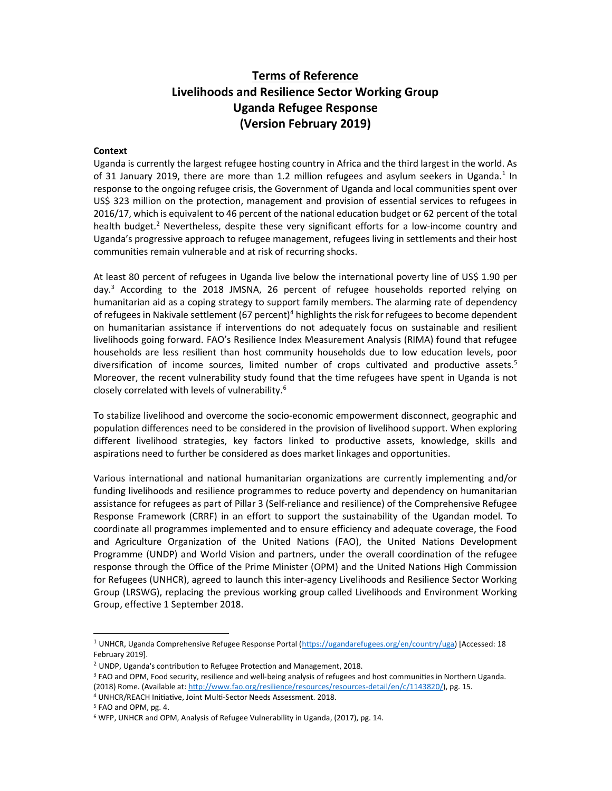# Terms of Reference Livelihoods and Resilience Sector Working Group Uganda Refugee Response (Version February 2019)

#### **Context**

Uganda is currently the largest refugee hosting country in Africa and the third largest in the world. As of 31 January 2019, there are more than 1.2 million refugees and asylum seekers in Uganda.<sup>1</sup> In response to the ongoing refugee crisis, the Government of Uganda and local communities spent over US\$ 323 million on the protection, management and provision of essential services to refugees in 2016/17, which is equivalent to 46 percent of the national education budget or 62 percent of the total health budget.<sup>2</sup> Nevertheless, despite these very significant efforts for a low-income country and Uganda's progressive approach to refugee management, refugees living in settlements and their host communities remain vulnerable and at risk of recurring shocks.

At least 80 percent of refugees in Uganda live below the international poverty line of US\$ 1.90 per day.<sup>3</sup> According to the 2018 JMSNA, 26 percent of refugee households reported relying on humanitarian aid as a coping strategy to support family members. The alarming rate of dependency of refugees in Nakivale settlement (67 percent)<sup>4</sup> highlights the risk for refugees to become dependent on humanitarian assistance if interventions do not adequately focus on sustainable and resilient livelihoods going forward. FAO's Resilience Index Measurement Analysis (RIMA) found that refugee households are less resilient than host community households due to low education levels, poor diversification of income sources, limited number of crops cultivated and productive assets.<sup>5</sup> Moreover, the recent vulnerability study found that the time refugees have spent in Uganda is not closely correlated with levels of vulnerability.<sup>6</sup>

To stabilize livelihood and overcome the socio-economic empowerment disconnect, geographic and population differences need to be considered in the provision of livelihood support. When exploring different livelihood strategies, key factors linked to productive assets, knowledge, skills and aspirations need to further be considered as does market linkages and opportunities.

Various international and national humanitarian organizations are currently implementing and/or funding livelihoods and resilience programmes to reduce poverty and dependency on humanitarian assistance for refugees as part of Pillar 3 (Self-reliance and resilience) of the Comprehensive Refugee Response Framework (CRRF) in an effort to support the sustainability of the Ugandan model. To coordinate all programmes implemented and to ensure efficiency and adequate coverage, the Food and Agriculture Organization of the United Nations (FAO), the United Nations Development Programme (UNDP) and World Vision and partners, under the overall coordination of the refugee response through the Office of the Prime Minister (OPM) and the United Nations High Commission for Refugees (UNHCR), agreed to launch this inter-agency Livelihoods and Resilience Sector Working Group (LRSWG), replacing the previous working group called Livelihoods and Environment Working Group, effective 1 September 2018.

-

<sup>&</sup>lt;sup>1</sup> UNHCR, Uganda Comprehensive Refugee Response Portal (https://ugandarefugees.org/en/country/uga) [Accessed: 18 February 2019].

 $2$  UNDP, Uganda's contribution to Refugee Protection and Management, 2018.

<sup>&</sup>lt;sup>3</sup> FAO and OPM, Food security, resilience and well-being analysis of refugees and host communities in Northern Uganda. (2018) Rome. (Available at: http://www.fao.org/resilience/resources/resources-detail/en/c/1143820/), pg. 15.

<sup>&</sup>lt;sup>4</sup> UNHCR/REACH Initiative, Joint Multi-Sector Needs Assessment. 2018.

<sup>5</sup> FAO and OPM, pg. 4.

<sup>&</sup>lt;sup>6</sup> WFP, UNHCR and OPM, Analysis of Refugee Vulnerability in Uganda, (2017), pg. 14.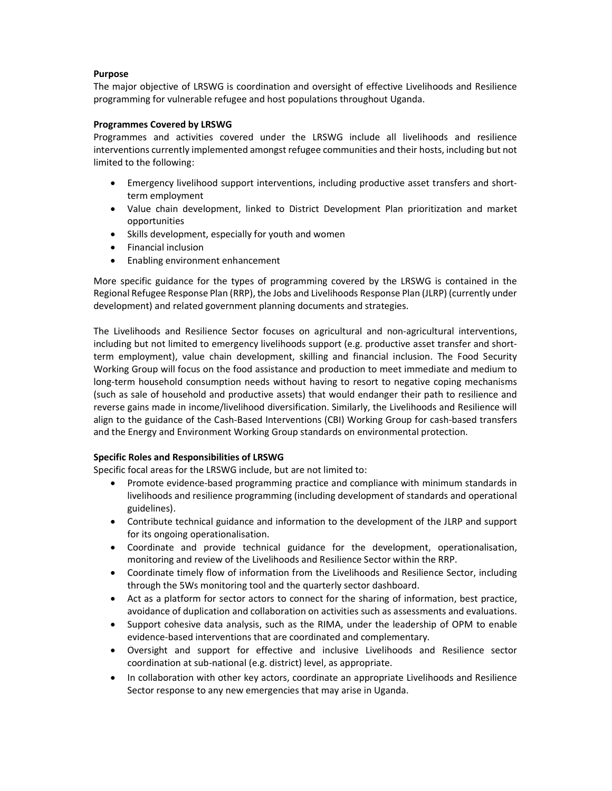### Purpose

The major objective of LRSWG is coordination and oversight of effective Livelihoods and Resilience programming for vulnerable refugee and host populations throughout Uganda.

## Programmes Covered by LRSWG

Programmes and activities covered under the LRSWG include all livelihoods and resilience interventions currently implemented amongst refugee communities and their hosts, including but not limited to the following:

- Emergency livelihood support interventions, including productive asset transfers and shortterm employment
- Value chain development, linked to District Development Plan prioritization and market opportunities
- Skills development, especially for youth and women
- Financial inclusion
- Enabling environment enhancement

More specific guidance for the types of programming covered by the LRSWG is contained in the Regional Refugee Response Plan (RRP), the Jobs and Livelihoods Response Plan (JLRP) (currently under development) and related government planning documents and strategies.

The Livelihoods and Resilience Sector focuses on agricultural and non-agricultural interventions, including but not limited to emergency livelihoods support (e.g. productive asset transfer and shortterm employment), value chain development, skilling and financial inclusion. The Food Security Working Group will focus on the food assistance and production to meet immediate and medium to long-term household consumption needs without having to resort to negative coping mechanisms (such as sale of household and productive assets) that would endanger their path to resilience and reverse gains made in income/livelihood diversification. Similarly, the Livelihoods and Resilience will align to the guidance of the Cash-Based Interventions (CBI) Working Group for cash-based transfers and the Energy and Environment Working Group standards on environmental protection.

### Specific Roles and Responsibilities of LRSWG

Specific focal areas for the LRSWG include, but are not limited to:

- Promote evidence-based programming practice and compliance with minimum standards in livelihoods and resilience programming (including development of standards and operational guidelines).
- Contribute technical guidance and information to the development of the JLRP and support for its ongoing operationalisation.
- Coordinate and provide technical guidance for the development, operationalisation, monitoring and review of the Livelihoods and Resilience Sector within the RRP.
- Coordinate timely flow of information from the Livelihoods and Resilience Sector, including through the 5Ws monitoring tool and the quarterly sector dashboard.
- Act as a platform for sector actors to connect for the sharing of information, best practice, avoidance of duplication and collaboration on activities such as assessments and evaluations.
- Support cohesive data analysis, such as the RIMA, under the leadership of OPM to enable evidence-based interventions that are coordinated and complementary.
- Oversight and support for effective and inclusive Livelihoods and Resilience sector coordination at sub-national (e.g. district) level, as appropriate.
- In collaboration with other key actors, coordinate an appropriate Livelihoods and Resilience Sector response to any new emergencies that may arise in Uganda.